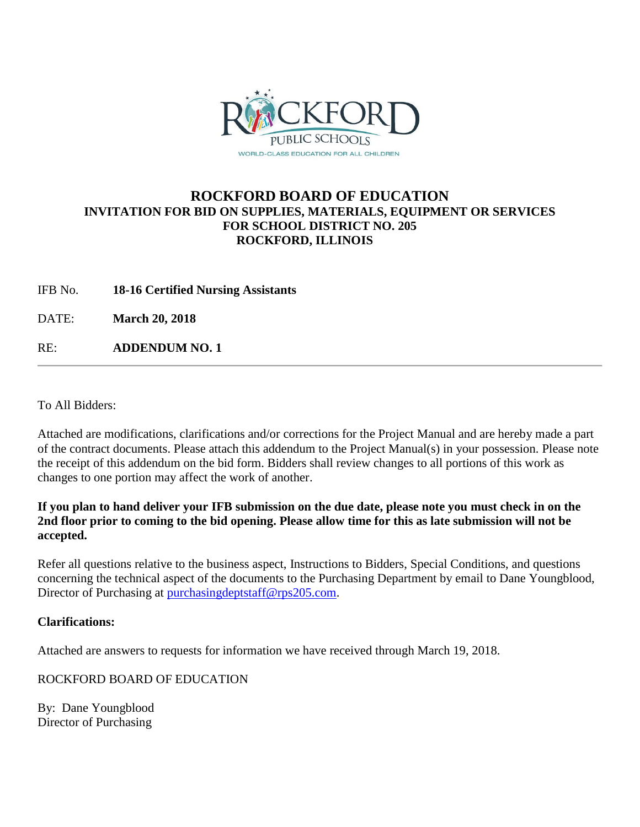

## **ROCKFORD BOARD OF EDUCATION INVITATION FOR BID ON SUPPLIES, MATERIALS, EQUIPMENT OR SERVICES FOR SCHOOL DISTRICT NO. 205 ROCKFORD, ILLINOIS**

IFB No. **18-16 Certified Nursing Assistants**

DATE: **March 20, 2018**

RE: **ADDENDUM NO. 1**

To All Bidders:

Attached are modifications, clarifications and/or corrections for the Project Manual and are hereby made a part of the contract documents. Please attach this addendum to the Project Manual(s) in your possession. Please note the receipt of this addendum on the bid form. Bidders shall review changes to all portions of this work as changes to one portion may affect the work of another.

## **If you plan to hand deliver your IFB submission on the due date, please note you must check in on the 2nd floor prior to coming to the bid opening. Please allow time for this as late submission will not be accepted.**

Refer all questions relative to the business aspect, Instructions to Bidders, Special Conditions, and questions concerning the technical aspect of the documents to the Purchasing Department by email to Dane Youngblood, Director of Purchasing at [purchasingdeptstaff@rps205.com.](mailto:purchasingdeptstaff@rps205.com)

## **Clarifications:**

Attached are answers to requests for information we have received through March 19, 2018.

ROCKFORD BOARD OF EDUCATION

By: Dane Youngblood Director of Purchasing